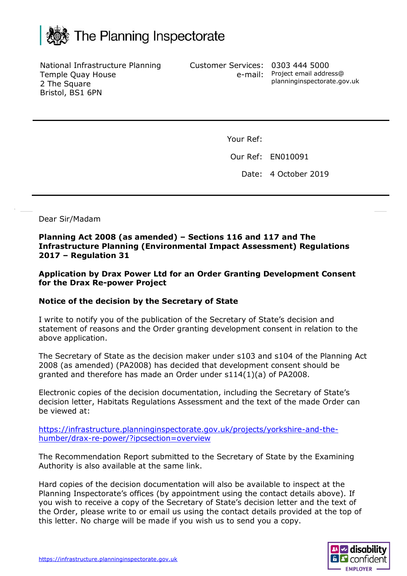

National Infrastructure Planning Temple Quay House 2 The Square Bristol, BS1 6PN

Customer Services: 0303 444 5000

e-mail: Project email address@ planninginspectorate.gov.uk

Your Ref:

Our Ref: EN010091

Date: 4 October 2019

Dear Sir/Madam

**Planning Act 2008 (as amended) – Sections 116 and 117 and The Infrastructure Planning (Environmental Impact Assessment) Regulations 2017 – Regulation 31**

**Application by Drax Power Ltd for an Order Granting Development Consent for the Drax Re-power Project**

## **Notice of the decision by the Secretary of State**

I write to notify you of the publication of the Secretary of State's decision and statement of reasons and the Order granting development consent in relation to the above application.

The Secretary of State as the decision maker under s103 and s104 of the Planning Act 2008 (as amended) (PA2008) has decided that development consent should be granted and therefore has made an Order under s114(1)(a) of PA2008.

Electronic copies of the decision documentation, including the Secretary of State's decision letter, Habitats Regulations Assessment and the text of the made Order can be viewed at:

[https://infrastructure.planninginspectorate.gov.uk/projects/yorkshire-and-the](https://infrastructure.planninginspectorate.gov.uk/projects/yorkshire-and-the-humber/drax-re-power/?ipcsection=overview)[humber/drax-re-power/?ipcsection=overview](https://infrastructure.planninginspectorate.gov.uk/projects/yorkshire-and-the-humber/drax-re-power/?ipcsection=overview)

The Recommendation Report submitted to the Secretary of State by the Examining Authority is also available at the same link.

Hard copies of the decision documentation will also be available to inspect at the Planning Inspectorate's offices (by appointment using the contact details above). If you wish to receive a copy of the Secretary of State's decision letter and the text of the Order, please write to or email us using the contact details provided at the top of this letter. No charge will be made if you wish us to send you a copy.